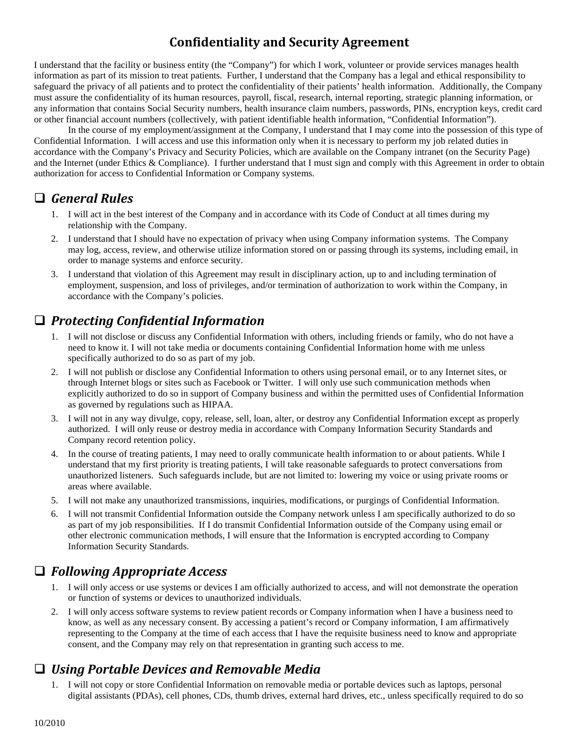#### **Confidentiality and Security Agreement**

I understand that the facility or business entity (the "Company") for which I work, volunteer or provide services manages health information as part of its mission to treat patients. Further, I understand that the Company has a legal and ethical responsibility to safeguard the privacy of all patients and to protect the confidentiality of their patients' health information. Additionally, the Company must assure the confidentiality of its human resources, payroll, fiscal, research, internal reporting, strategic planning information, or any information that contains Social Security numbers, health insurance claim numbers, passwords, PINs, encryption keys, credit card or other financial account numbers (collectively, with patient identifiable health information, "Confidential Information").

In the course of my employment/assignment at the Company, I understand that I may come into the possession of this type of Confidential Information. I will access and use this information only when it is necessary to perform my job related duties in accordance with the Company's Privacy and Security Policies, which are available on the Company intranet (on the Security Page) and the Internet (under Ethics & Compliance). I further understand that I must sign and comply with this Agreement in order to obtain authorization for access to Confidential Information or Company systems.

## *General Rules*

- 1. I will act in the best interest of the Company and in accordance with its Code of Conduct at all times during my relationship with the Company.
- 2. I understand that I should have no expectation of privacy when using Company information systems. The Company may log, access, review, and otherwise utilize information stored on or passing through its systems, including email, in order to manage systems and enforce security.
- 3. I understand that violation of this Agreement may result in disciplinary action, up to and including termination of employment, suspension, and loss of privileges, and/or termination of authorization to work within the Company, in accordance with the Company's policies.

# *Protecting Confidential Information*

- 1. I will not disclose or discuss any Confidential Information with others, including friends or family, who do not have a need to know it. I will not take media or documents containing Confidential Information home with me unless specifically authorized to do so as part of my job.
- 2. I will not publish or disclose any Confidential Information to others using personal email, or to any Internet sites, or through Internet blogs or sites such as Facebook or Twitter. I will only use such communication methods when explicitly authorized to do so in support of Company business and within the permitted uses of Confidential Information as governed by regulations such as HIPAA.
- 3. I will not in any way divulge, copy, release, sell, loan, alter, or destroy any Confidential Information except as properly authorized. I will only reuse or destroy media in accordance with Company Information Security Standards and Company record retention policy.
- 4. In the course of treating patients, I may need to orally communicate health information to or about patients. While I understand that my first priority is treating patients, I will take reasonable safeguards to protect conversations from unauthorized listeners. Such safeguards include, but are not limited to: lowering my voice or using private rooms or areas where available.
- 5. I will not make any unauthorized transmissions, inquiries, modifications, or purgings of Confidential Information.
- 6. I will not transmit Confidential Information outside the Company network unless I am specifically authorized to do so as part of my job responsibilities. If I do transmit Confidential Information outside of the Company using email or other electronic communication methods, I will ensure that the Information is encrypted according to Company Information Security Standards.

## *Following Appropriate Access*

- 1. I will only access or use systems or devices I am officially authorized to access, and will not demonstrate the operation or function of systems or devices to unauthorized individuals.
- 2. I will only access software systems to review patient records or Company information when I have a business need to know, as well as any necessary consent. By accessing a patient's record or Company information, I am affirmatively representing to the Company at the time of each access that I have the requisite business need to know and appropriate consent, and the Company may rely on that representation in granting such access to me.

## *Using Portable Devices and Removable Media*

1. I will not copy or store Confidential Information on removable media or portable devices such as laptops, personal digital assistants (PDAs), cell phones, CDs, thumb drives, external hard drives, etc., unless specifically required to do so